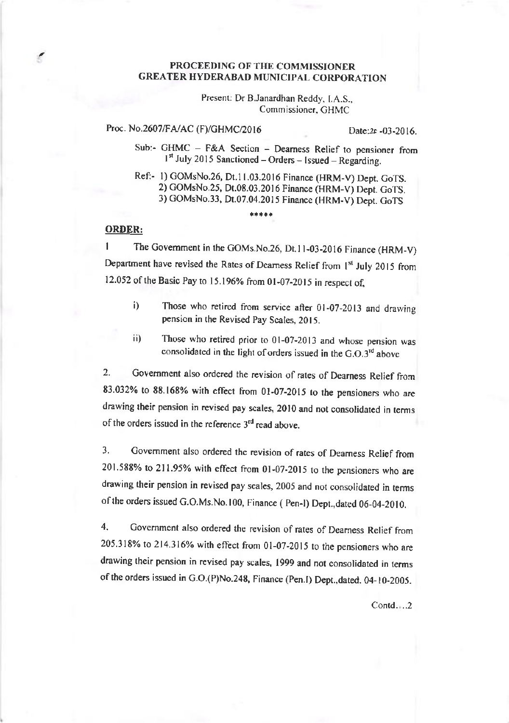## PROCEEDING OF THE COMMISsloNER **GREATER HYDERABAD MUNICIPAL CORPORATION**

Present: Dr B.Janardhan Reddy. LA.S., Commissioner, GHMC

## Proc. No.2607/FA/AC (F)/GHMC/2016 Date:2f -03-2016.

Sub:- GHMC - F&A Section - Dearness Relief to pensioner from I<sup>st</sup> July 2015 Sanctioned – Orders – Issued – Regarding.

Ref:- l) GOMsNo.26, Dt.l1.03.20t6 Finance (HRM\_V) Dept. CoTS. 2) COMsNo.25, Dt.08.03.20t6 Finance (HRM-V) Depr. CoTS. 3) cOMsNo.33, Dt.07.04.2015 Finance (HRM-V) Depr. GoTS

## ORDER:

C

I The Govemment in the COMs.No.26, Dr.l I -03-2016 Finance (HRM-V) Department have revised the Rates of Dearness Relief from 1st July 2015 from 12.052 of the Basic Pay to 15.196% from 01-07-2015 in respect of,

\*\*\*\*\*

- i) Those who retired from service after 01-07-2013 and drawing pension in the Revised Pay Scales, 2015.
- ii) Those who retired prior to 0l-07-2013 and whose pension was consolidated in the light of orders issued in the  $G.O.3<sup>rd</sup>$  above

2. Covemment also ordered the revision of mtes of Deamess Relief from 83.032% to 88.168% with effect from  $01-07-2015$  to the pensioners who are drawing their pension in revised pay scales, 2010 and not consolidated in terms of the orders issued in the reference  $3<sup>rd</sup>$  read above.

3. Government also ordered the revision of rates of Dearness Relief from 201.588% to 211.95% wirh effect from 0l-07-20t5 to the pensioners who are drawing thcir pension in revised pay scales, 2005 and not consolidated in terms of the orders issued G.O.Ms.No.100, Finance ( Pen-I) Dept.,dated 06-04-2010.

4. Covemment also ordered the revision of rates of Deamess Relief from  $205.318\%$  to  $214.316\%$  with effect from 01-07-2015 to the pensioners who are drawing their pension in revised pay scales, 1999 and not consolidated in terms of the orders issued in G.O.(P)No.248, Finance (Pen.I) Dept.,dated. 04-10-2005.

 $Contd...$ , 2